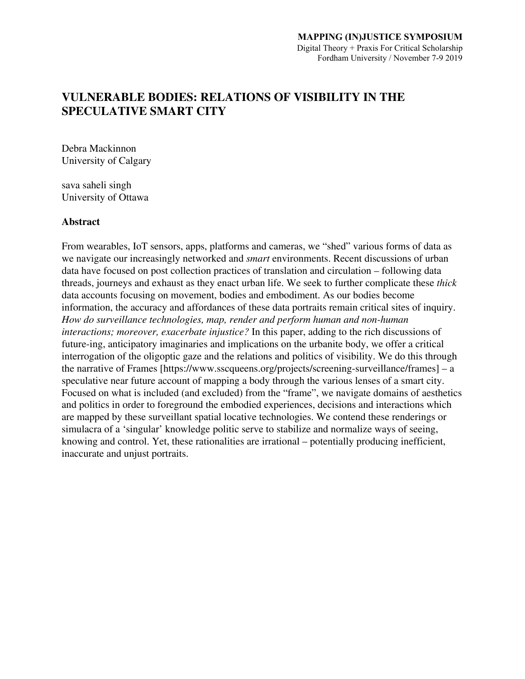# **VULNERABLE BODIES: RELATIONS OF VISIBILITY IN THE SPECULATIVE SMART CITY**

Debra Mackinnon University of Calgary

sava saheli singh University of Ottawa

# **Abstract**

From wearables, IoT sensors, apps, platforms and cameras, we "shed" various forms of data as we navigate our increasingly networked and *smart* environments. Recent discussions of urban data have focused on post collection practices of translation and circulation – following data threads, journeys and exhaust as they enact urban life. We seek to further complicate these *thick* data accounts focusing on movement, bodies and embodiment. As our bodies become information, the accuracy and affordances of these data portraits remain critical sites of inquiry. *How do surveillance technologies, map, render and perform human and non-human interactions; moreover, exacerbate injustice?* In this paper, adding to the rich discussions of future-ing, anticipatory imaginaries and implications on the urbanite body, we offer a critical interrogation of the oligoptic gaze and the relations and politics of visibility. We do this through the narrative of Frames [https://www.sscqueens.org/projects/screening-surveillance/frames] – a speculative near future account of mapping a body through the various lenses of a smart city. Focused on what is included (and excluded) from the "frame", we navigate domains of aesthetics and politics in order to foreground the embodied experiences, decisions and interactions which are mapped by these surveillant spatial locative technologies. We contend these renderings or simulacra of a 'singular' knowledge politic serve to stabilize and normalize ways of seeing, knowing and control. Yet, these rationalities are irrational – potentially producing inefficient, inaccurate and unjust portraits.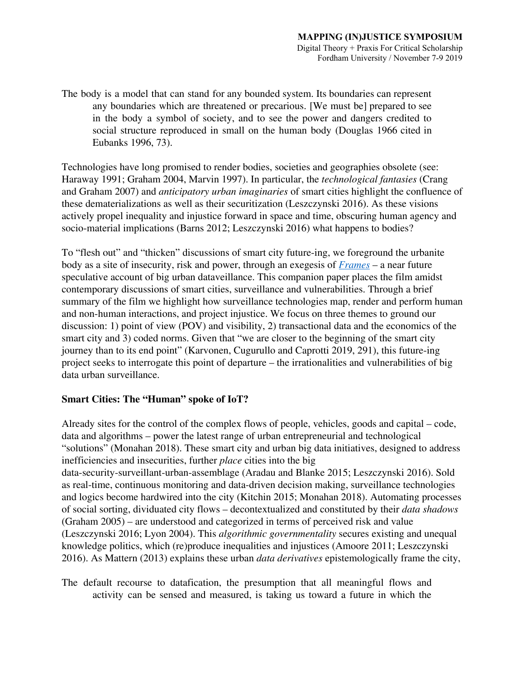The body is a model that can stand for any bounded system. Its boundaries can represent any boundaries which are threatened or precarious. [We must be] prepared to see in the body a symbol of society, and to see the power and dangers credited to social structure reproduced in small on the human body (Douglas 1966 cited in Eubanks 1996, 73).

Technologies have long promised to render bodies, societies and geographies obsolete (see: Haraway 1991; Graham 2004, Marvin 1997). In particular, the *technological fantasies* (Crang and Graham 2007) and *anticipatory urban imaginaries* of smart cities highlight the confluence of these dematerializations as well as their securitization (Leszczynski 2016). As these visions actively propel inequality and injustice forward in space and time, obscuring human agency and socio-material implications (Barns 2012; Leszczynski 2016) what happens to bodies?

To "flesh out" and "thicken" discussions of smart city future-ing, we foreground the urbanite body as a site of insecurity, risk and power, through an exegesis of *[Frames](https://www.sscqueens.org/projects/screening-surveillance/frames)* – a near future speculative account of big urban dataveillance. This companion paper places the film amidst contemporary discussions of smart cities, surveillance and vulnerabilities. Through a brief summary of the film we highlight how surveillance technologies map, render and perform human and non-human interactions, and project injustice. We focus on three themes to ground our discussion: 1) point of view (POV) and visibility, 2) transactional data and the economics of the smart city and 3) coded norms. Given that "we are closer to the beginning of the smart city journey than to its end point" (Karvonen, Cugurullo and Caprotti 2019, 291), this future-ing project seeks to interrogate this point of departure – the irrationalities and vulnerabilities of big data urban surveillance.

# **Smart Cities: The "Human" spoke of IoT?**

Already sites for the control of the complex flows of people, vehicles, goods and capital – code, data and algorithms – power the latest range of urban entrepreneurial and technological "solutions" (Monahan 2018). These smart city and urban big data initiatives, designed to address inefficiencies and insecurities, further *place* cities into the big data-security-surveillant-urban-assemblage (Aradau and Blanke 2015; Leszczynski 2016). Sold as real-time, continuous monitoring and data-driven decision making, surveillance technologies and logics become hardwired into the city (Kitchin 2015; Monahan 2018). Automating processes of social sorting, dividuated city flows – decontextualized and constituted by their *data shadows* (Graham 2005) – are understood and categorized in terms of perceived risk and value (Leszczynski 2016; Lyon 2004). This *algorithmic governmentality* secures existing and unequal knowledge politics, which (re)produce inequalities and injustices (Amoore 2011; Leszczynski 2016). As Mattern (2013) explains these urban *data derivatives* epistemologically frame the city,

The default recourse to datafication, the presumption that all meaningful flows and activity can be sensed and measured, is taking us toward a future in which the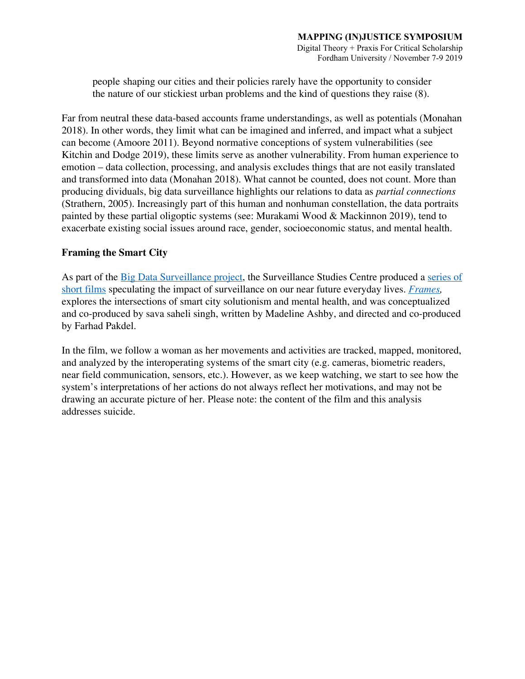#### **MAPPING (IN)JUSTICE SYMPOSIUM** Digital Theory + Praxis For Critical Scholarship

Fordham University / November 7-9 2019

people shaping our cities and their policies rarely have the opportunity to consider the nature of our stickiest urban problems and the kind of questions they raise (8).

Far from neutral these data-based accounts frame understandings, as well as potentials (Monahan 2018). In other words, they limit what can be imagined and inferred, and impact what a subject can become (Amoore 2011). Beyond normative conceptions of system vulnerabilities (see Kitchin and Dodge 2019), these limits serve as another vulnerability. From human experience to emotion – data collection, processing, and analysis excludes things that are not easily translated and transformed into data (Monahan 2018). What cannot be counted, does not count. More than producing dividuals, big data surveillance highlights our relations to data as *partial connections* (Strathern, 2005). Increasingly part of this human and nonhuman constellation, the data portraits painted by these partial oligoptic systems (see: Murakami Wood & Mackinnon 2019), tend to exacerbate existing social issues around race, gender, socioeconomic status, and mental health.

# **Framing the Smart City**

As part of the **Big Data [Surveillance](https://www.sscqueens.org/projects/big-data-surveillance) project**, the Surveillance Studies Centre produced a [series](https://www.sscqueens.org/projects/screening-surveillance) of short [films](https://www.sscqueens.org/projects/screening-surveillance) speculating the impact of surveillance on our near future everyday lives. *[Frames](https://www.sscqueens.org/projects/screening-surveillance/frames),* explores the intersections of smart city solutionism and mental health, and was conceptualized and co-produced by sava saheli singh, written by Madeline Ashby, and directed and co-produced by Farhad Pakdel.

In the film, we follow a woman as her movements and activities are tracked, mapped, monitored, and analyzed by the interoperating systems of the smart city (e.g. cameras, biometric readers, near field communication, sensors, etc.). However, as we keep watching, we start to see how the system's interpretations of her actions do not always reflect her motivations, and may not be drawing an accurate picture of her. Please note: the content of the film and this analysis addresses suicide.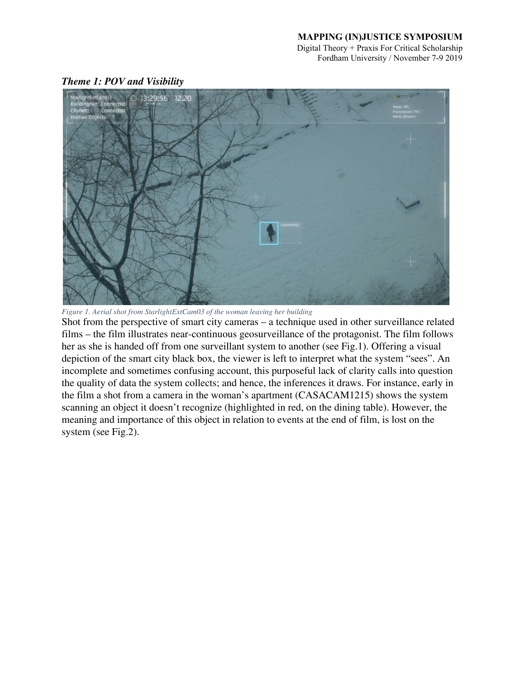Digital Theory + Praxis For Critical Scholarship Fordham University / November 7-9 2019



*Theme 1: POV and Visibility*

*Figure 1. Aerial shot from StarlightExtCam03 of the woman leaving her building*

Shot from the perspective of smart city cameras – a technique used in other surveillance related films – the film illustrates near-continuous geosurveillance of the protagonist. The film follows her as she is handed off from one surveillant system to another (see Fig.1). Offering a visual depiction of the smart city black box, the viewer is left to interpret what the system "sees". An incomplete and sometimes confusing account, this purposeful lack of clarity calls into question the quality of data the system collects; and hence, the inferences it draws. For instance, early in the film a shot from a camera in the woman's apartment (CASACAM1215) shows the system scanning an object it doesn't recognize (highlighted in red, on the dining table). However, the meaning and importance of this object in relation to events at the end of film, is lost on the system (see Fig.2).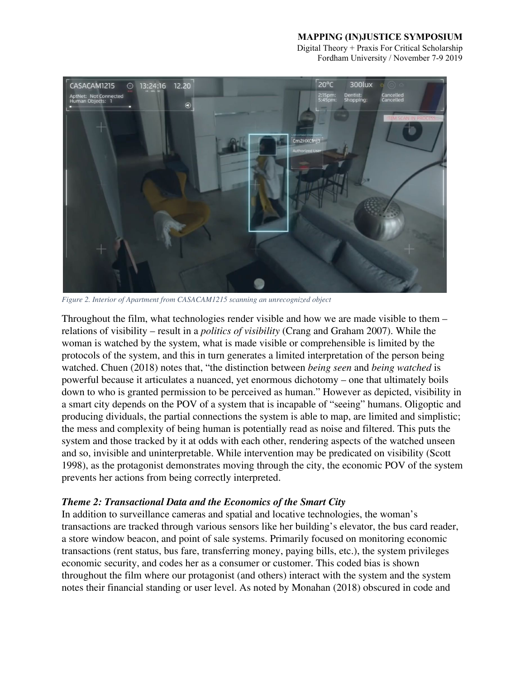Digital Theory + Praxis For Critical Scholarship Fordham University / November 7-9 2019



*Figure 2. Interior of Apartment from CASACAM1215 scanning an unrecognized object*

Throughout the film, what technologies render visible and how we are made visible to them – relations of visibility – result in a *politics of visibility* (Crang and Graham 2007). While the woman is watched by the system, what is made visible or comprehensible is limited by the protocols of the system, and this in turn generates a limited interpretation of the person being watched. Chuen (2018) notes that, "the distinction between *being seen* and *being watched* is powerful because it articulates a nuanced, yet enormous dichotomy – one that ultimately boils down to who is granted permission to be perceived as human." However as depicted, visibility in a smart city depends on the POV of a system that is incapable of "seeing" humans. Oligoptic and producing dividuals, the partial connections the system is able to map, are limited and simplistic; the mess and complexity of being human is potentially read as noise and filtered. This puts the system and those tracked by it at odds with each other, rendering aspects of the watched unseen and so, invisible and uninterpretable. While intervention may be predicated on visibility (Scott 1998), as the protagonist demonstrates moving through the city, the economic POV of the system prevents her actions from being correctly interpreted.

# *Theme 2: Transactional Data and the Economics of the Smart City*

In addition to surveillance cameras and spatial and locative technologies, the woman's transactions are tracked through various sensors like her building's elevator, the bus card reader, a store window beacon, and point of sale systems. Primarily focused on monitoring economic transactions (rent status, bus fare, transferring money, paying bills, etc.), the system privileges economic security, and codes her as a consumer or customer. This coded bias is shown throughout the film where our protagonist (and others) interact with the system and the system notes their financial standing or user level. As noted by Monahan (2018) obscured in code and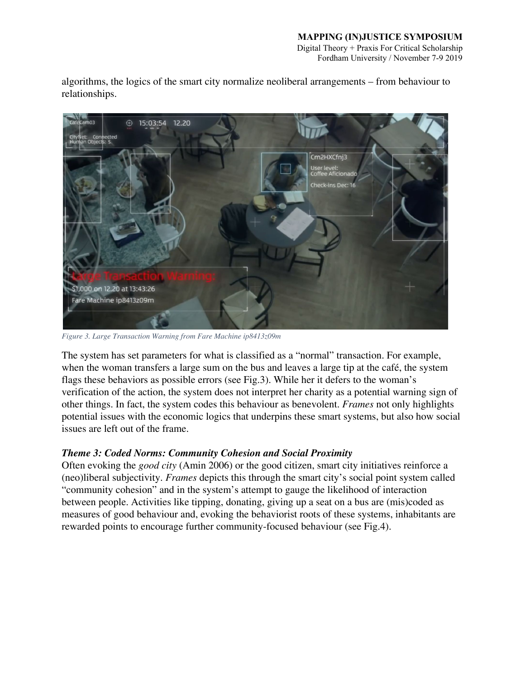Digital Theory + Praxis For Critical Scholarship Fordham University / November 7-9 2019

algorithms, the logics of the smart city normalize neoliberal arrangements – from behaviour to relationships.



*Figure 3. Large Transaction Warning from Fare Machine ip8413z09m*

The system has set parameters for what is classified as a "normal" transaction. For example, when the woman transfers a large sum on the bus and leaves a large tip at the café, the system flags these behaviors as possible errors (see Fig.3). While her it defers to the woman's verification of the action, the system does not interpret her charity as a potential warning sign of other things. In fact, the system codes this behaviour as benevolent. *Frames* not only highlights potential issues with the economic logics that underpins these smart systems, but also how social issues are left out of the frame.

# *Theme 3: Coded Norms: Community Cohesion and Social Proximity*

Often evoking the *good city* (Amin 2006) or the good citizen, smart city initiatives reinforce a (neo)liberal subjectivity. *Frames* depicts this through the smart city's social point system called "community cohesion" and in the system's attempt to gauge the likelihood of interaction between people. Activities like tipping, donating, giving up a seat on a bus are (mis)coded as measures of good behaviour and, evoking the behaviorist roots of these systems, inhabitants are rewarded points to encourage further community-focused behaviour (see Fig.4).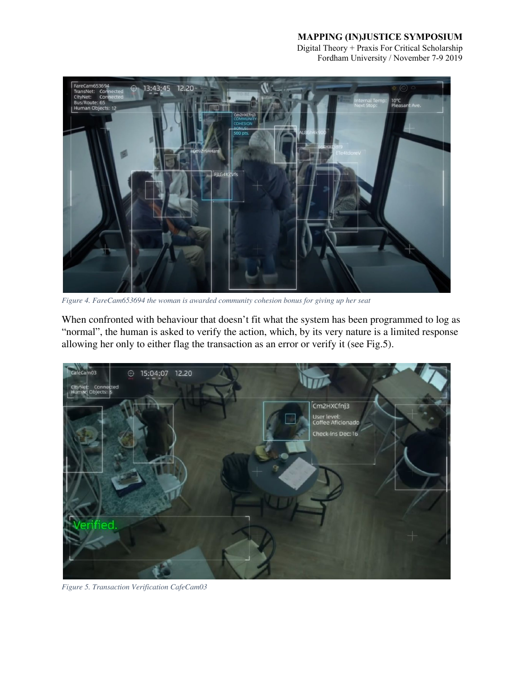Digital Theory + Praxis For Critical Scholarship Fordham University / November 7-9 2019



*Figure 4. FareCam653694 the woman is awarded community cohesion bonus for giving up her seat*

When confronted with behaviour that doesn't fit what the system has been programmed to log as "normal", the human is asked to verify the action, which, by its very nature is a limited response allowing her only to either flag the transaction as an error or verify it (see Fig.5).



*Figure 5. Transaction Verification CafeCam03*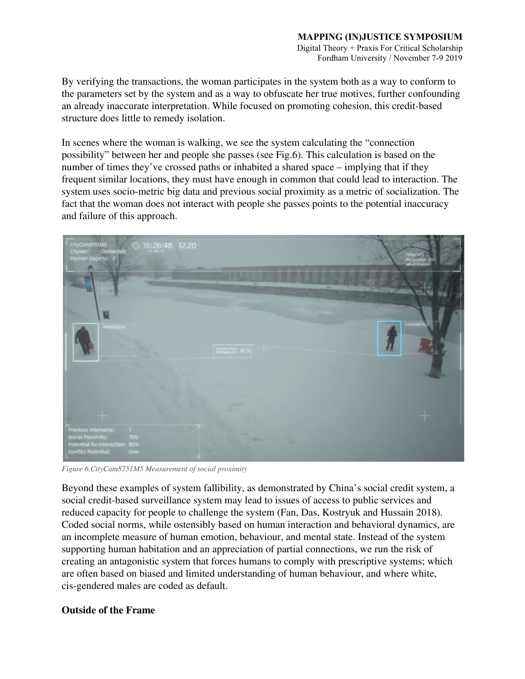#### **MAPPING (IN)JUSTICE SYMPOSIUM** Digital Theory + Praxis For Critical Scholarship Fordham University / November 7-9 2019

By verifying the transactions, the woman participates in the system both as a way to conform to the parameters set by the system and as a way to obfuscate her true motives, further confounding an already inaccurate interpretation. While focused on promoting cohesion, this credit-based structure does little to remedy isolation.

In scenes where the woman is walking, we see the system calculating the "connection possibility" between her and people she passes (see Fig.6). This calculation is based on the number of times they've crossed paths or inhabited a shared space – implying that if they frequent similar locations, they must have enough in common that could lead to interaction. The system uses socio-metric big data and previous social proximity as a metric of socialization. The fact that the woman does not interact with people she passes points to the potential inaccuracy and failure of this approach.



*Figure 6.CityCam8751M5 Measurement of social proximity*

Beyond these examples of system fallibility, as demonstrated by China's social credit system, a social credit-based surveillance system may lead to issues of access to public services and reduced capacity for people to challenge the system (Fan, Das, Kostryuk and Hussain 2018). Coded social norms, while ostensibly based on human interaction and behavioral dynamics, are an incomplete measure of human emotion, behaviour, and mental state. Instead of the system supporting human habitation and an appreciation of partial connections, we run the risk of creating an antagonistic system that forces humans to comply with prescriptive systems; which are often based on biased and limited understanding of human behaviour, and where white, cis-gendered males are coded as default.

# **Outside of the Frame**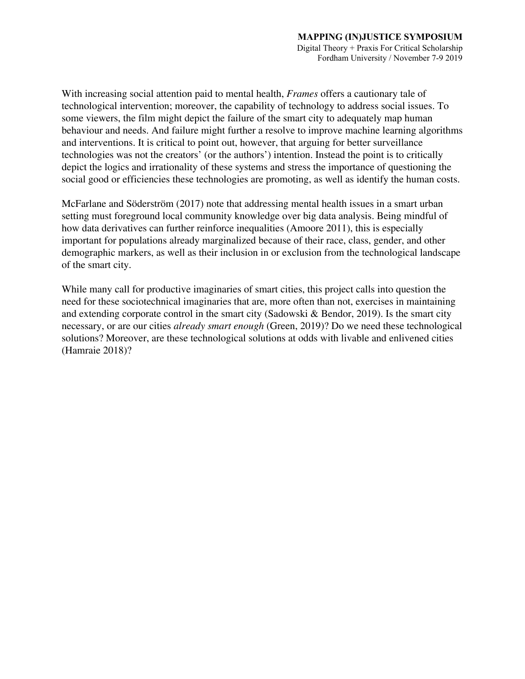With increasing social attention paid to mental health, *Frames* offers a cautionary tale of technological intervention; moreover, the capability of technology to address social issues. To some viewers, the film might depict the failure of the smart city to adequately map human behaviour and needs. And failure might further a resolve to improve machine learning algorithms and interventions. It is critical to point out, however, that arguing for better surveillance technologies was not the creators' (or the authors') intention. Instead the point is to critically depict the logics and irrationality of these systems and stress the importance of questioning the social good or efficiencies these technologies are promoting, as well as identify the human costs.

McFarlane and Söderström (2017) note that addressing mental health issues in a smart urban setting must foreground local community knowledge over big data analysis. Being mindful of how data derivatives can further reinforce inequalities (Amoore 2011), this is especially important for populations already marginalized because of their race, class, gender, and other demographic markers, as well as their inclusion in or exclusion from the technological landscape of the smart city.

While many call for productive imaginaries of smart cities, this project calls into question the need for these sociotechnical imaginaries that are, more often than not, exercises in maintaining and extending corporate control in the smart city (Sadowski & Bendor, 2019). Is the smart city necessary, or are our cities *already smart enough* (Green, 2019)? Do we need these technological solutions? Moreover, are these technological solutions at odds with livable and enlivened cities (Hamraie 2018)?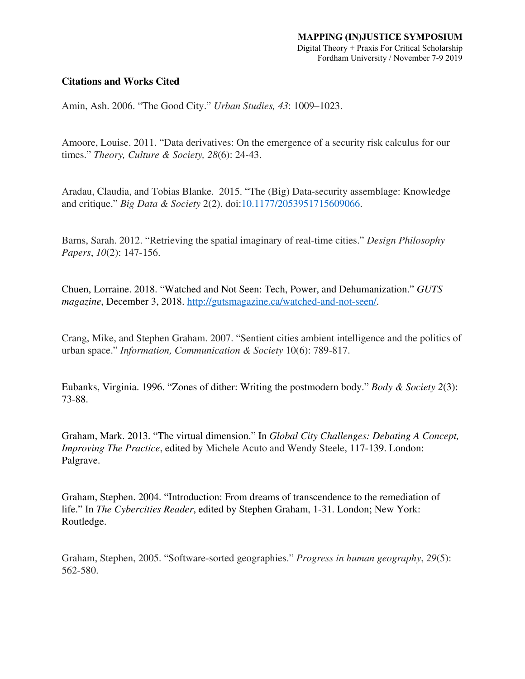# **Citations and Works Cited**

Amin, Ash. 2006. "The Good City." *Urban Studies, 43*: 1009–1023.

Amoore, Louise. 2011. "Data derivatives: On the emergence of a security risk calculus for our times." *Theory, Culture & Society, 28*(6): 24-43.

Aradau, Claudia, and Tobias Blanke. 2015. "The (Big) Data-security assemblage: Knowledge and critique." *Big Data & Society* 2(2). doi:[10.1177/2053951715609066.](https://doi.org/10.1177/2053951715609066)

Barns, Sarah. 2012. "Retrieving the spatial imaginary of real-time cities." *Design Philosophy Papers*, *10*(2): 147-156.

Chuen, Lorraine. 2018. "Watched and Not Seen: Tech, Power, and Dehumanization." *GUTS magazine*, December 3, 2018. [http://gutsmagazine.ca/watched-and-not-seen/.](http://gutsmagazine.ca/watched-and-not-seen/)

Crang, Mike, and Stephen Graham. 2007. "Sentient cities ambient intelligence and the politics of urban space." *Information, Communication & Society* 10(6): 789-817.

Eubanks, Virginia. 1996. "Zones of dither: Writing the postmodern body." *Body & Society 2*(3): 73-88.

Graham, Mark. 2013. "The virtual dimension." In *Global City Challenges: Debating A Concept, Improving The Practice*, edited by Michele Acuto and Wendy Steele, 117-139. London: Palgrave.

Graham, Stephen. 2004. "Introduction: From dreams of transcendence to the remediation of life." In *The Cybercities Reader*, edited by Stephen Graham, 1-31. London; New York: Routledge.

Graham, Stephen, 2005. "Software-sorted geographies." *Progress in human geography*, *29*(5): 562-580.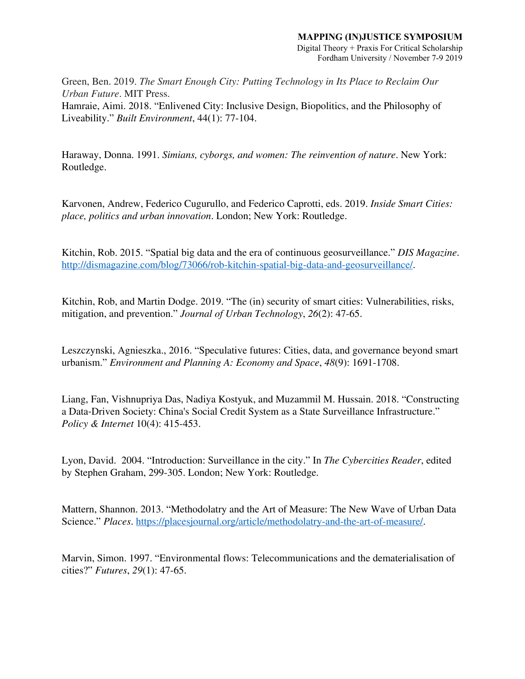Digital Theory + Praxis For Critical Scholarship Fordham University / November 7-9 2019

Green, Ben. 2019. *The Smart Enough City: Putting Technology in Its Place to Reclaim Our Urban Future*. MIT Press. Hamraie, Aimi. 2018. "Enlivened City: Inclusive Design, Biopolitics, and the Philosophy of

Liveability." *Built Environment*, 44(1): 77-104.

Haraway, Donna. 1991. *Simians, cyborgs, and women: The reinvention of nature*. New York: Routledge.

Karvonen, Andrew, Federico Cugurullo, and Federico Caprotti, eds. 2019. *Inside Smart Cities: place, politics and urban innovation*. London; New York: Routledge.

Kitchin, Rob. 2015. "Spatial big data and the era of continuous geosurveillance." *DIS Magazine*. [http://dismagazine.com/blog/73066/rob-kitchin-spatial-big-data-and-geosurveillance/.](http://dismagazine.com/blog/73066/rob-kitchin-spatial-big-data-and-geosurveillance/)

Kitchin, Rob, and Martin Dodge. 2019. "The (in) security of smart cities: Vulnerabilities, risks, mitigation, and prevention." *Journal of Urban Technology*, *26*(2): 47-65.

Leszczynski, Agnieszka., 2016. "Speculative futures: Cities, data, and governance beyond smart urbanism." *Environment and Planning A: Economy and Space*, *48*(9): 1691-1708.

Liang, Fan, Vishnupriya Das, Nadiya Kostyuk, and Muzammil M. Hussain. 2018. "Constructing a Data-Driven Society: China's Social Credit System as a State Surveillance Infrastructure." *Policy & Internet* 10(4): 415-453.

Lyon, David. 2004. "Introduction: Surveillance in the city." In *The Cybercities Reader*, edited by Stephen Graham, 299-305. London; New York: Routledge.

Mattern, Shannon. 2013. "Methodolatry and the Art of Measure: The New Wave of Urban Data Science." *Places*. [https://placesjournal.org/article/methodolatry-and-the-art-of-measure/.](https://placesjournal.org/article/methodolatry-and-the-art-of-measure/)

Marvin, Simon. 1997. "Environmental flows: Telecommunications and the dematerialisation of cities?" *Futures*, *29*(1): 47-65.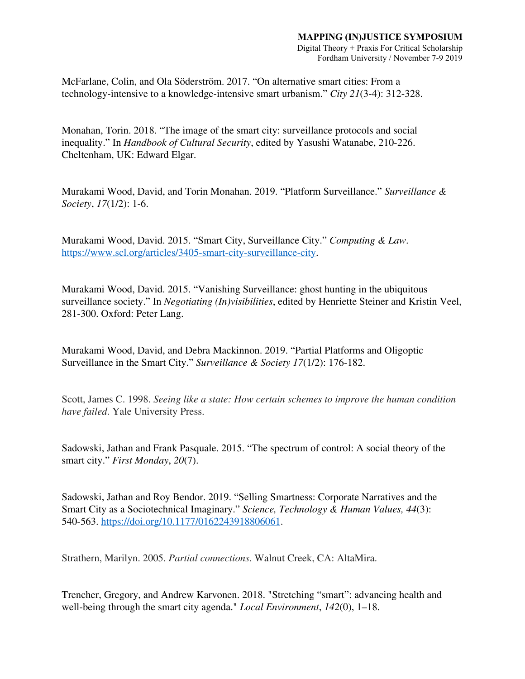Digital Theory + Praxis For Critical Scholarship Fordham University / November 7-9 2019

McFarlane, Colin, and Ola Söderström. 2017. "On alternative smart cities: From a technology-intensive to a knowledge-intensive smart urbanism." *City 21*(3-4): 312-328.

Monahan, Torin. 2018. "The image of the smart city: surveillance protocols and social inequality." In *Handbook of Cultural Security*, edited by Yasushi Watanabe, 210-226. Cheltenham, UK: Edward Elgar.

Murakami Wood, David, and Torin Monahan. 2019. "Platform Surveillance." *Surveillance & Society*, *17*(1/2): 1-6.

Murakami Wood, David. 2015. "Smart City, Surveillance City." *Computing & Law*. [https://www.scl.org/articles/3405-smart-city-surveillance-city.](https://www.scl.org/articles/3405-smart-city-surveillance-city)

Murakami Wood, David. 2015. "Vanishing Surveillance: ghost hunting in the ubiquitous surveillance society." In *Negotiating (In)visibilities*, edited by Henriette Steiner and Kristin Veel, 281-300. Oxford: Peter Lang.

Murakami Wood, David, and Debra Mackinnon. 2019. "Partial Platforms and Oligoptic Surveillance in the Smart City." *Surveillance & Society 17*(1/2): 176-182.

Scott, James C. 1998. *Seeing like a state: How certain schemes to improve the human condition have failed*. Yale University Press.

Sadowski, Jathan and Frank Pasquale. 2015. "The spectrum of control: A social theory of the smart city." *First Monday*, *20*(7).

Sadowski, Jathan and Roy Bendor. 2019. "Selling Smartness: Corporate Narratives and the Smart City as a Sociotechnical Imaginary." *Science, Technology & Human Values, 44*(3): 540-563. <https://doi.org/10.1177/0162243918806061>.

Strathern, Marilyn. 2005. *Partial connections*. Walnut Creek, CA: AltaMira.

Trencher, Gregory, and Andrew Karvonen. 2018. "Stretching "smart": advancing health and well-being through the smart city agenda." *Local Environment*, *142*(0), 1–18.